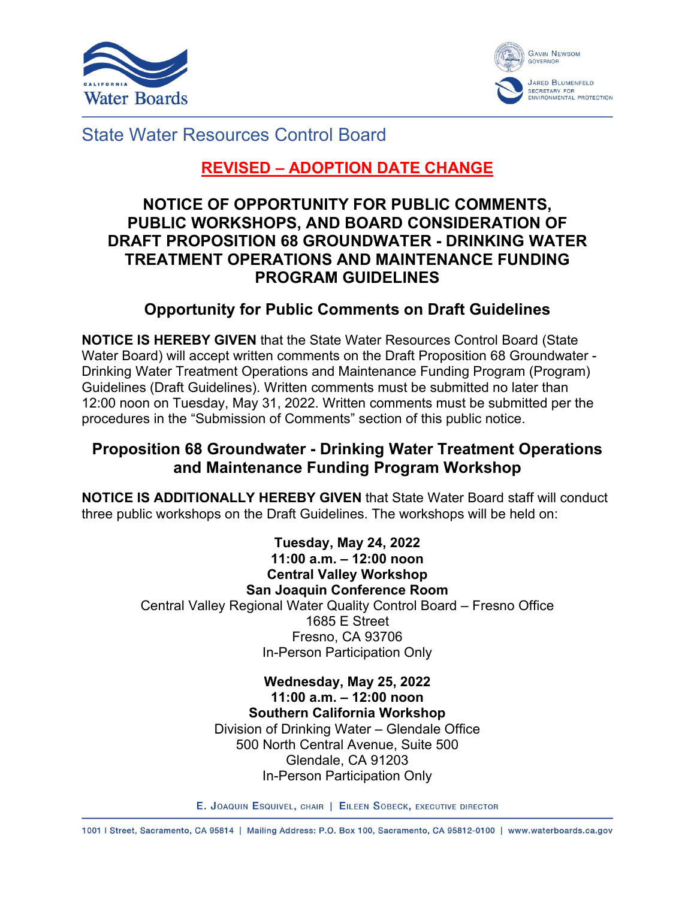



State Water Resources Control Board

# **REVISED – ADOPTION DATE CHANGE**

## **NOTICE OF OPPORTUNITY FOR PUBLIC COMMENTS, PUBLIC WORKSHOPS, AND BOARD CONSIDERATION OF DRAFT PROPOSITION 68 GROUNDWATER - DRINKING WATER TREATMENT OPERATIONS AND MAINTENANCE FUNDING PROGRAM GUIDELINES**

## **Opportunity for Public Comments on Draft Guidelines**

**NOTICE IS HEREBY GIVEN** that the State Water Resources Control Board (State Water Board) will accept written comments on the Draft Proposition 68 Groundwater - Drinking Water Treatment Operations and Maintenance Funding Program (Program) Guidelines (Draft Guidelines). Written comments must be submitted no later than 12:00 noon on Tuesday, May 31, 2022. Written comments must be submitted per the procedures in the "Submission of Comments" section of this public notice.

## **Proposition 68 Groundwater - Drinking Water Treatment Operations and Maintenance Funding Program Workshop**

**NOTICE IS ADDITIONALLY HEREBY GIVEN** that State Water Board staff will conduct three public workshops on the Draft Guidelines. The workshops will be held on:

> **Tuesday, May 24, 2022 11:00 a.m. – 12:00 noon Central Valley Workshop San Joaquin Conference Room** Central Valley Regional Water Quality Control Board – Fresno Office 1685 E Street Fresno, CA 93706 In-Person Participation Only

> > **Wednesday, May 25, 2022 11:00 a.m. – 12:00 noon Southern California Workshop** Division of Drinking Water – Glendale Office 500 North Central Avenue, Suite 500 Glendale, CA 91203 In-Person Participation Only

E. JOAQUIN ESQUIVEL, CHAIR | EILEEN SOBECK, EXECUTIVE DIRECTOR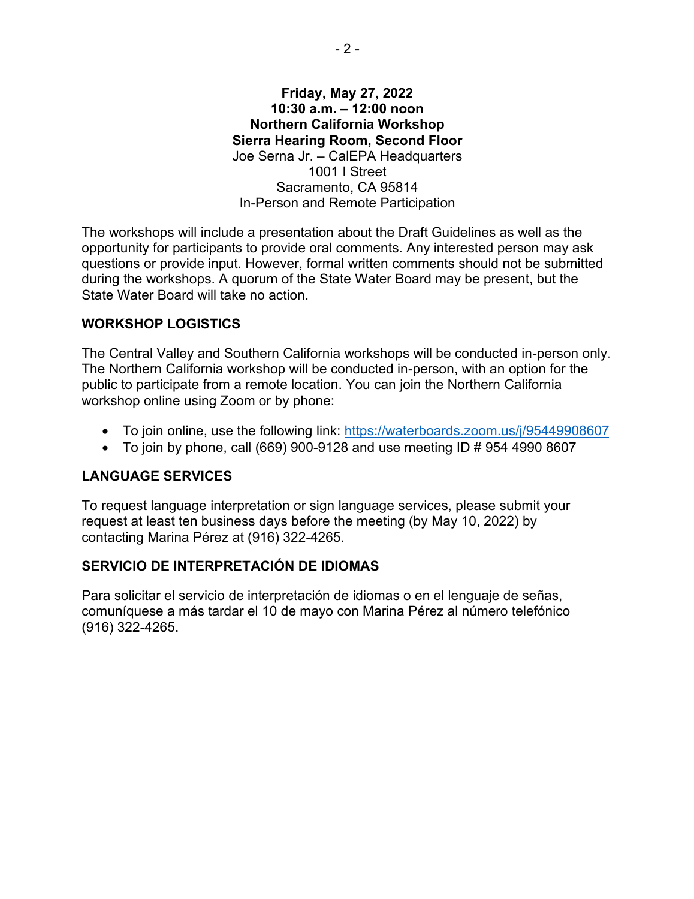#### **Friday, May 27, 2022 10:30 a.m. – 12:00 noon Northern California Workshop Sierra Hearing Room, Second Floor** Joe Serna Jr. – CalEPA Headquarters 1001 I Street Sacramento, CA 95814 In-Person and Remote Participation

The workshops will include a presentation about the Draft Guidelines as well as the opportunity for participants to provide oral comments. Any interested person may ask questions or provide input. However, formal written comments should not be submitted during the workshops. A quorum of the State Water Board may be present, but the State Water Board will take no action.

#### **WORKSHOP LOGISTICS**

The Central Valley and Southern California workshops will be conducted in-person only. The Northern California workshop will be conducted in-person, with an option for the public to participate from a remote location. You can join the Northern California workshop online using Zoom or by phone:

- · To join online, use the following link:<https://waterboards.zoom.us/j/95449908607>
- To join by phone, call (669) 900-9128 and use meeting ID  $\#$  954 4990 8607

#### **LANGUAGE SERVICES**

To request language interpretation or sign language services, please submit your request at least ten business days before the meeting (by May 10, 2022) by contacting Marina Pérez at (916) 322-4265.

#### **SERVICIO DE INTERPRETACIÓN DE IDIOMAS**

Para solicitar el servicio de interpretación de idiomas o en el lenguaje de señas, comuníquese a más tardar el 10 de mayo con Marina Pérez al número telefónico (916) 322-4265.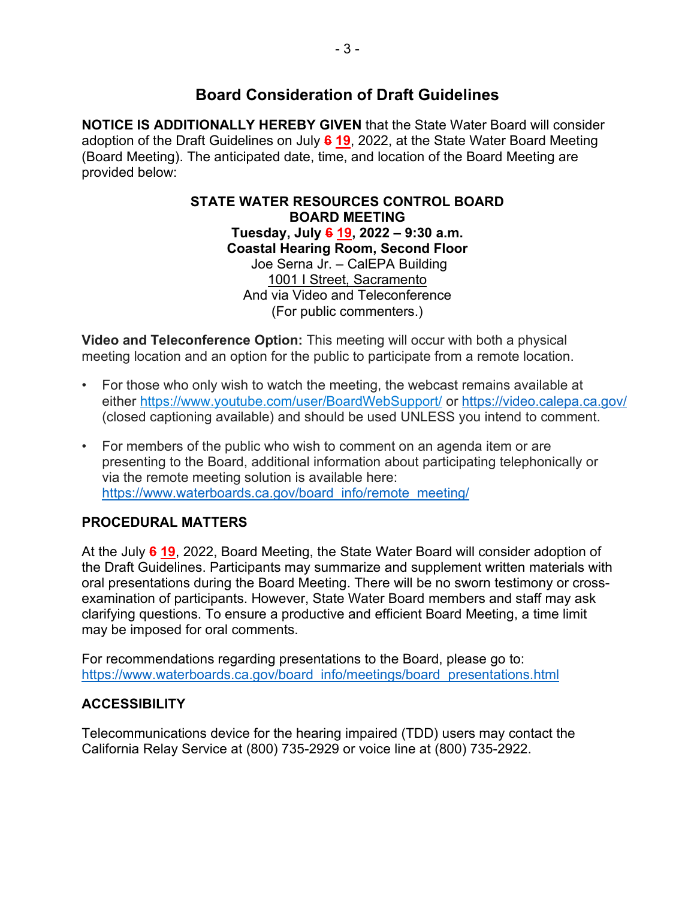## **Board Consideration of Draft Guidelines**

**NOTICE IS ADDITIONALLY HEREBY GIVEN** that the State Water Board will consider adoption of the Draft Guidelines on July **6 19**, 2022, at the State Water Board Meeting (Board Meeting). The anticipated date, time, and location of the Board Meeting are provided below:

> **STATE WATER RESOURCES CONTROL BOARD BOARD MEETING Tuesday, July 6 19, 2022 – 9:30 a.m. Coastal Hearing Room, Second Floor** Joe Serna Jr. – CalEPA Building 1001 I Street, Sacramento And via Video and Teleconference (For public commenters.)

**Video and Teleconference Option:** This meeting will occur with both a physical meeting location and an option for the public to participate from a remote location.

- For those who only wish to watch the meeting, the webcast remains available at either <https://www.youtube.com/user/BoardWebSupport/> or <https://video.calepa.ca.gov/> (closed captioning available) and should be used UNLESS you intend to comment.
- For members of the public who wish to comment on an agenda item or are presenting to the Board, additional information about participating telephonically or via the remote meeting solution is available here: [https://www.waterboards.ca.gov/board\\_info/remote\\_meeting/](https://www.waterboards.ca.gov/board_info/remote_meeting/)

### **PROCEDURAL MATTERS**

At the July **6 19**, 2022, Board Meeting, the State Water Board will consider adoption of the Draft Guidelines. Participants may summarize and supplement written materials with oral presentations during the Board Meeting. There will be no sworn testimony or crossexamination of participants. However, State Water Board members and staff may ask clarifying questions. To ensure a productive and efficient Board Meeting, a time limit may be imposed for oral comments.

For recommendations regarding presentations to the Board, please go to: [https://www.waterboards.ca.gov/board\\_info/meetings/board\\_presentations.html](https://www.waterboards.ca.gov/board_info/meetings/board_presentations.html)

### **ACCESSIBILITY**

Telecommunications device for the hearing impaired (TDD) users may contact the California Relay Service at (800) 735-2929 or voice line at (800) 735-2922.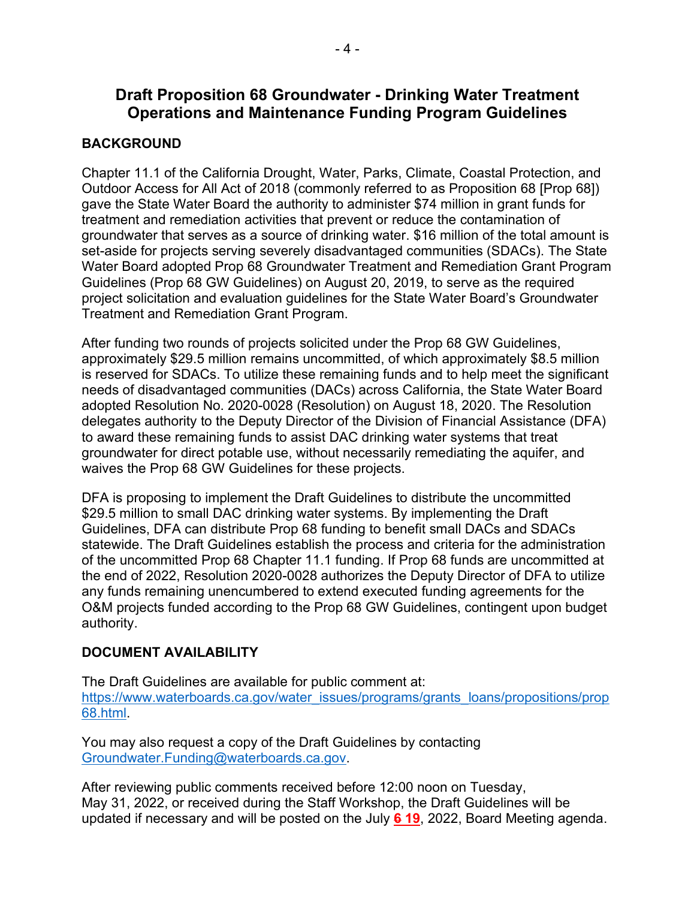## **Draft Proposition 68 Groundwater - Drinking Water Treatment Operations and Maintenance Funding Program Guidelines**

### **BACKGROUND**

Chapter 11.1 of the California Drought, Water, Parks, Climate, Coastal Protection, and Outdoor Access for All Act of 2018 (commonly referred to as Proposition 68 [Prop 68]) gave the State Water Board the authority to administer \$74 million in grant funds for treatment and remediation activities that prevent or reduce the contamination of groundwater that serves as a source of drinking water. \$16 million of the total amount is set-aside for projects serving severely disadvantaged communities (SDACs). The State Water Board adopted Prop 68 Groundwater Treatment and Remediation Grant Program Guidelines (Prop 68 GW Guidelines) on August 20, 2019, to serve as the required project solicitation and evaluation guidelines for the State Water Board's Groundwater Treatment and Remediation Grant Program.

After funding two rounds of projects solicited under the Prop 68 GW Guidelines, approximately \$29.5 million remains uncommitted, of which approximately \$8.5 million is reserved for SDACs. To utilize these remaining funds and to help meet the significant needs of disadvantaged communities (DACs) across California, the State Water Board adopted Resolution No. 2020-0028 (Resolution) on August 18, 2020. The Resolution delegates authority to the Deputy Director of the Division of Financial Assistance (DFA) to award these remaining funds to assist DAC drinking water systems that treat groundwater for direct potable use, without necessarily remediating the aquifer, and waives the Prop 68 GW Guidelines for these projects.

DFA is proposing to implement the Draft Guidelines to distribute the uncommitted \$29.5 million to small DAC drinking water systems. By implementing the Draft Guidelines, DFA can distribute Prop 68 funding to benefit small DACs and SDACs statewide. The Draft Guidelines establish the process and criteria for the administration of the uncommitted Prop 68 Chapter 11.1 funding. If Prop 68 funds are uncommitted at the end of 2022, Resolution 2020-0028 authorizes the Deputy Director of DFA to utilize any funds remaining unencumbered to extend executed funding agreements for the O&M projects funded according to the Prop 68 GW Guidelines, contingent upon budget authority.

### **DOCUMENT AVAILABILITY**

The Draft Guidelines are available for public comment at: [https://www.waterboards.ca.gov/water\\_issues/programs/grants\\_loans/propositions/prop](https://www.waterboards.ca.gov/water_issues/programs/grants_loans/propositions/prop68.html) [68.html](https://www.waterboards.ca.gov/water_issues/programs/grants_loans/propositions/prop68.html).

You may also request a copy of the Draft Guidelines by contacting [Groundwater.Funding@waterboards.ca.gov](mailto:Groundwater.Funding@waterboards.ca.gov).

After reviewing public comments received before 12:00 noon on Tuesday, May 31, 2022, or received during the Staff Workshop, the Draft Guidelines will be updated if necessary and will be posted on the July **6 19**, 2022, Board Meeting agenda.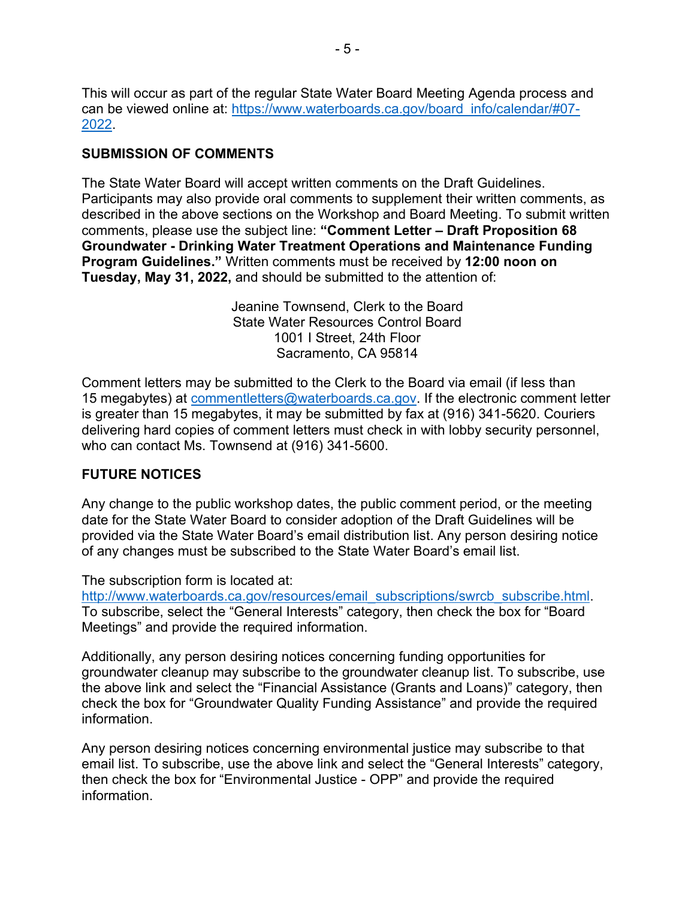This will occur as part of the regular State Water Board Meeting Agenda process and can be viewed online at: [https://www.waterboards.ca.gov/board\\_info/calendar/#07-](https://www.waterboards.ca.gov/board_info/calendar/#07-2022) [2022.](https://www.waterboards.ca.gov/board_info/calendar/#07-2022)

#### **SUBMISSION OF COMMENTS**

The State Water Board will accept written comments on the Draft Guidelines. Participants may also provide oral comments to supplement their written comments, as described in the above sections on the Workshop and Board Meeting. To submit written comments, please use the subject line: **"Comment Letter – Draft Proposition 68 Groundwater - Drinking Water Treatment Operations and Maintenance Funding Program Guidelines."** Written comments must be received by **12:00 noon on Tuesday, May 31, 2022,** and should be submitted to the attention of:

> Jeanine Townsend, Clerk to the Board State Water Resources Control Board 1001 I Street, 24th Floor Sacramento, CA 95814

Comment letters may be submitted to the Clerk to the Board via email (if less than 15 megabytes) at [commentletters@waterboards.ca.gov](mailto:commentletters@waterboards.ca.gov). If the electronic comment letter is greater than 15 megabytes, it may be submitted by fax at (916) 341-5620. Couriers delivering hard copies of comment letters must check in with lobby security personnel, who can contact Ms. Townsend at (916) 341-5600.

### **FUTURE NOTICES**

Any change to the public workshop dates, the public comment period, or the meeting date for the State Water Board to consider adoption of the Draft Guidelines will be provided via the State Water Board's email distribution list. Any person desiring notice of any changes must be subscribed to the State Water Board's email list.

The subscription form is located at:

http://www.waterboards.ca.gov/resources/email\_subscriptions/swrcb\_subscribe.html To subscribe, select the "General Interests" category, then check the box for "Board Meetings" and provide the required information.

Additionally, any person desiring notices concerning funding opportunities for groundwater cleanup may subscribe to the groundwater cleanup list. To subscribe, use the above link and select the "Financial Assistance (Grants and Loans)" category, then check the box for "Groundwater Quality Funding Assistance" and provide the required information.

Any person desiring notices concerning environmental justice may subscribe to that email list. To subscribe, use the above link and select the "General Interests" category, then check the box for "Environmental Justice - OPP" and provide the required information.